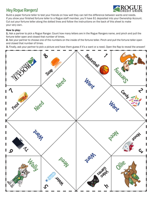## Hey Rogue Rangers!



Build a paper fortune teller to test your friends on how well they can tell the difference between wants and needs. If you show your finished fortune teller to a Rogue staff member, you'll have \$1 deposited into your Ownership Account. Cut out your fortune teller along the dotted lines and follow the instructions on the back of this sheet to make your very own.

## How to play:

1. Ask a partner to pick a Rogue Ranger. Count how many letters are in the Rogue Rangers name, and pinch and pull the fortune teller open and closed that number of times.

2. Ask your partner to choose one of the numbers on the inside of the fortune teller. Pinch and pull the fortune teller open and closed that number of times.

3. Finally, ask your partner to pick a picture and have them guess if it's a want or a need. Open the flap to reveal the answer!